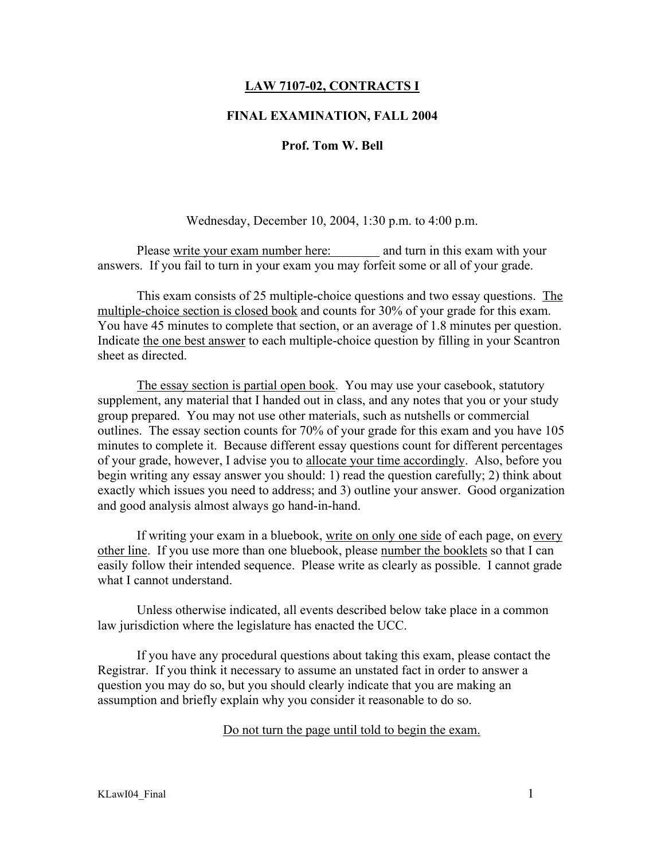# LAW 7107-02, CONTRACTS I

# FINAL EXAMINATION, FALL 2004

# Prof. Tom W. Bell

#### Wednesday, December 10, 2004, 1:30 p.m. to 4:00 p.m.

Please write your exam number here: and turn in this exam with your answers. If you fail to turn in your exam you may forfeit some or all of your grade.

This exam consists of 25 multiple-choice questions and two essay questions. The multiple-choice section is closed book and counts for 30% of your grade for this exam. You have 45 minutes to complete that section, or an average of 1.8 minutes per question. Indicate the one best answer to each multiple-choice question by filling in your Scantron sheet as directed.

The essay section is partial open book. You may use your casebook, statutory supplement, any material that I handed out in class, and any notes that you or your study group prepared. You may not use other materials, such as nutshells or commercial outlines. The essay section counts for 70% of your grade for this exam and you have 105 minutes to complete it. Because different essay questions count for different percentages of your grade, however, I advise you to allocate your time accordingly. Also, before you begin writing any essay answer you should: 1) read the question carefully; 2) think about exactly which issues you need to address; and 3) outline your answer. Good organization and good analysis almost always go hand-in-hand.

If writing your exam in a bluebook, write on only one side of each page, on every other line. If you use more than one bluebook, please number the booklets so that I can easily follow their intended sequence. Please write as clearly as possible. I cannot grade what I cannot understand.

Unless otherwise indicated, all events described below take place in a common law jurisdiction where the legislature has enacted the UCC.

If you have any procedural questions about taking this exam, please contact the Registrar. If you think it necessary to assume an unstated fact in order to answer a question you may do so, but you should clearly indicate that you are making an assumption and briefly explain why you consider it reasonable to do so.

#### Do not turn the page until told to begin the exam.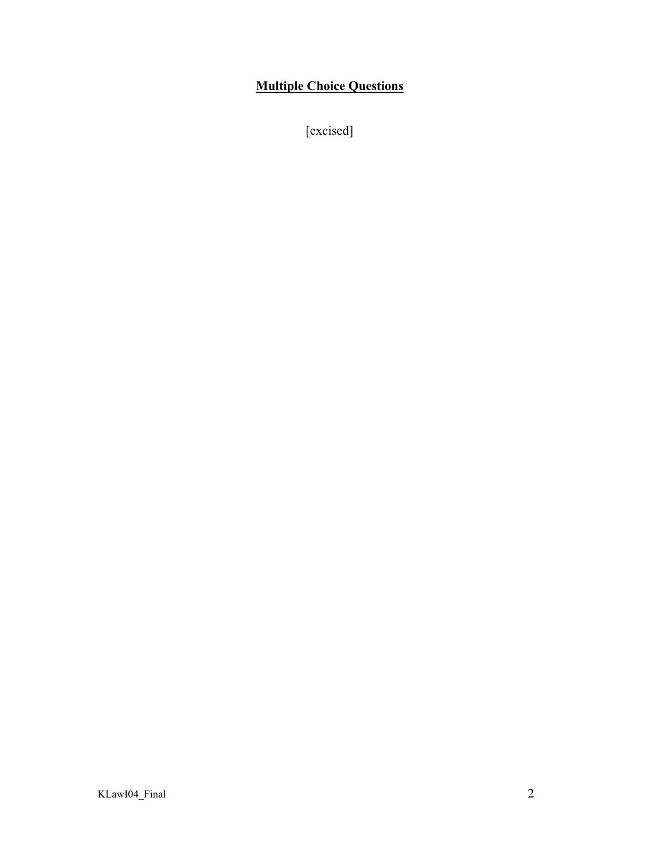# Multiple Choice Questions

[excised]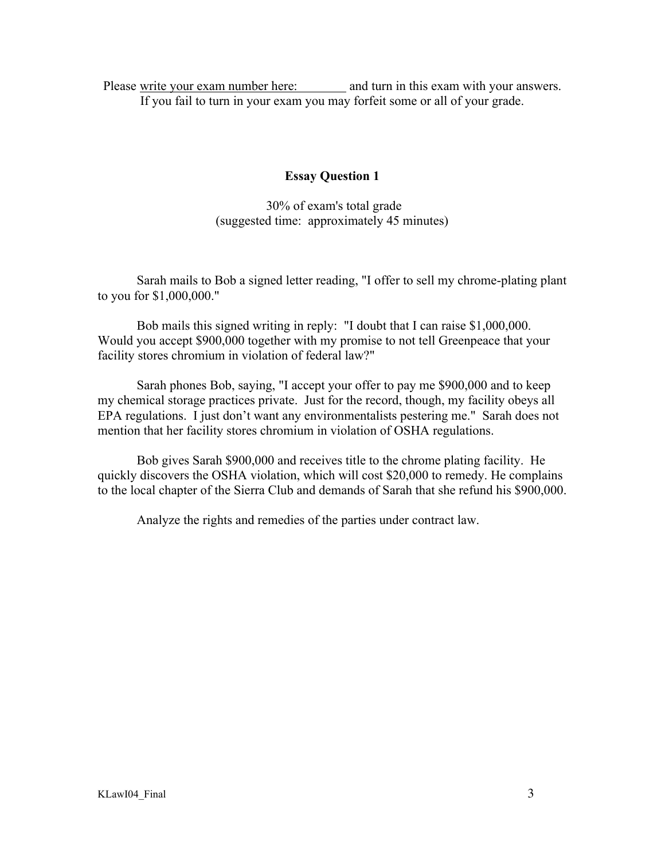Please write your exam number here: and turn in this exam with your answers. If you fail to turn in your exam you may forfeit some or all of your grade.

# Essay Question 1

 30% of exam's total grade (suggested time: approximately 45 minutes)

Sarah mails to Bob a signed letter reading, "I offer to sell my chrome-plating plant to you for \$1,000,000."

Bob mails this signed writing in reply: "I doubt that I can raise \$1,000,000. Would you accept \$900,000 together with my promise to not tell Greenpeace that your facility stores chromium in violation of federal law?"

Sarah phones Bob, saying, "I accept your offer to pay me \$900,000 and to keep my chemical storage practices private. Just for the record, though, my facility obeys all EPA regulations. I just don't want any environmentalists pestering me." Sarah does not mention that her facility stores chromium in violation of OSHA regulations.

Bob gives Sarah \$900,000 and receives title to the chrome plating facility. He quickly discovers the OSHA violation, which will cost \$20,000 to remedy. He complains to the local chapter of the Sierra Club and demands of Sarah that she refund his \$900,000.

Analyze the rights and remedies of the parties under contract law.